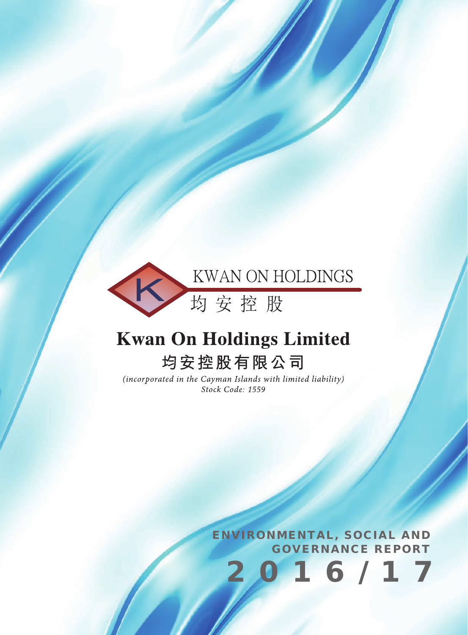

# **Kwan On Holdings Limited**

## 均安控股有限公司

(incorporated in the Cayman Islands with limited liability) Stock Code: 1559

> ENVIRONMENTAL, SOCIAL AND GOVERNANCE REPORT

> > 2016/17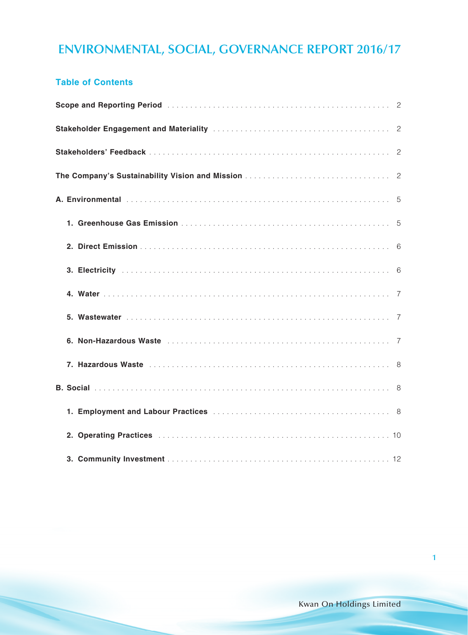#### **Table of Contents**

| Scope and Reporting Period (Allergence Contract Contract Contract Contract Contract Contract Contract Contract Contract Contract Contract Contract Contract Contract Contract Contract Contract Contract Contract Contract Con |  |
|--------------------------------------------------------------------------------------------------------------------------------------------------------------------------------------------------------------------------------|--|
| Stakeholder Engagement and Materiality (Materiality Communication Communication Communication Communication Co                                                                                                                 |  |
|                                                                                                                                                                                                                                |  |
|                                                                                                                                                                                                                                |  |
|                                                                                                                                                                                                                                |  |
|                                                                                                                                                                                                                                |  |
|                                                                                                                                                                                                                                |  |
|                                                                                                                                                                                                                                |  |
|                                                                                                                                                                                                                                |  |
|                                                                                                                                                                                                                                |  |
|                                                                                                                                                                                                                                |  |
|                                                                                                                                                                                                                                |  |
|                                                                                                                                                                                                                                |  |
|                                                                                                                                                                                                                                |  |
|                                                                                                                                                                                                                                |  |
|                                                                                                                                                                                                                                |  |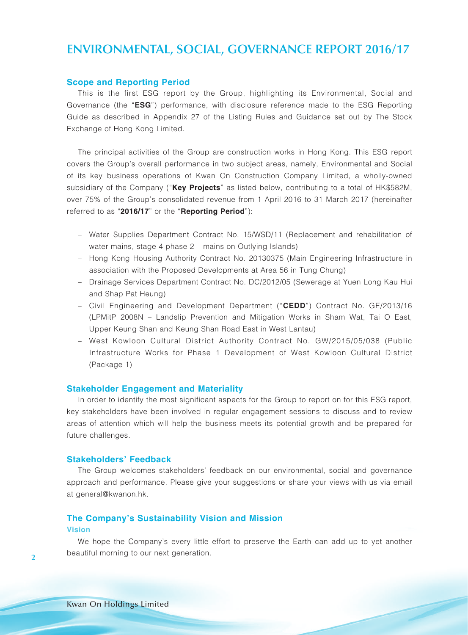#### **Scope and Reporting Period**

This is the first ESG report by the Group, highlighting its Environmental, Social and Governance (the "**ESG**") performance, with disclosure reference made to the ESG Reporting Guide as described in Appendix 27 of the Listing Rules and Guidance set out by The Stock Exchange of Hong Kong Limited.

The principal activities of the Group are construction works in Hong Kong. This ESG report covers the Group's overall performance in two subject areas, namely, Environmental and Social of its key business operations of Kwan On Construction Company Limited, a wholly-owned subsidiary of the Company ("**Key Projects**" as listed below, contributing to a total of HK\$582M, over 75% of the Group's consolidated revenue from 1 April 2016 to 31 March 2017 (hereinafter referred to as "**2016/17**" or the "**Reporting Period**"):

- Water Supplies Department Contract No. 15/WSD/11 (Replacement and rehabilitation of water mains, stage 4 phase 2 – mains on Outlying Islands)
- Hong Kong Housing Authority Contract No. 20130375 (Main Engineering Infrastructure in association with the Proposed Developments at Area 56 in Tung Chung)
- Drainage Services Department Contract No. DC/2012/05 (Sewerage at Yuen Long Kau Hui and Shap Pat Heung)
- Civil Engineering and Development Department ("**CEDD**") Contract No. GE/2013/16 (LPMitP 2008N – Landslip Prevention and Mitigation Works in Sham Wat, Tai O East, Upper Keung Shan and Keung Shan Road East in West Lantau)
- West Kowloon Cultural District Authority Contract No. GW/2015/05/038 (Public Infrastructure Works for Phase 1 Development of West Kowloon Cultural District (Package 1)

#### **Stakeholder Engagement and Materiality**

In order to identify the most significant aspects for the Group to report on for this ESG report, key stakeholders have been involved in regular engagement sessions to discuss and to review areas of attention which will help the business meets its potential growth and be prepared for future challenges.

#### **Stakeholders' Feedback**

The Group welcomes stakeholders' feedback on our environmental, social and governance approach and performance. Please give your suggestions or share your views with us via email at general@kwanon.hk.

### **The Company's Sustainability Vision and Mission**

#### **Vision**

We hope the Company's every little effort to preserve the Earth can add up to yet another beautiful morning to our next generation.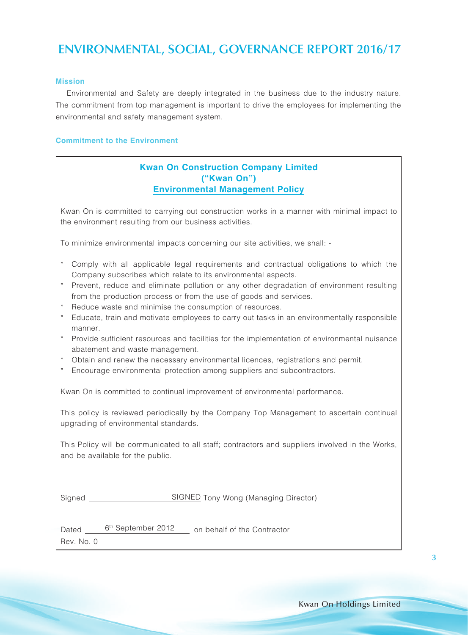#### **Mission**

Environmental and Safety are deeply integrated in the business due to the industry nature. The commitment from top management is important to drive the employees for implementing the environmental and safety management system.

#### **Commitment to the Environment**

#### **Kwan On Construction Company Limited ("Kwan On") Environmental Management Policy**

Kwan On is committed to carrying out construction works in a manner with minimal impact to the environment resulting from our business activities.

To minimize environmental impacts concerning our site activities, we shall: -

|  |  |  | * Comply with all applicable legal requirements and contractual obligations to which the |  |  |  |
|--|--|--|------------------------------------------------------------------------------------------|--|--|--|
|  |  |  | Company subscribes which relate to its environmental aspects.                            |  |  |  |

- \* Prevent, reduce and eliminate pollution or any other degradation of environment resulting from the production process or from the use of goods and services.
- Reduce waste and minimise the consumption of resources.
- \* Educate, train and motivate employees to carry out tasks in an environmentally responsible manner.
- \* Provide sufficient resources and facilities for the implementation of environmental nuisance abatement and waste management.
- \* Obtain and renew the necessary environmental licences, registrations and permit.
- \* Encourage environmental protection among suppliers and subcontractors.

Kwan On is committed to continual improvement of environmental performance.

This policy is reviewed periodically by the Company Top Management to ascertain continual upgrading of environmental standards.

This Policy will be communicated to all staff; contractors and suppliers involved in the Works, and be available for the public.

Signed Signed SIGNED Tony Wong (Managing Director)

Dated 6<sup>th</sup> September 2012 on behalf of the Contractor

Rev. No. 0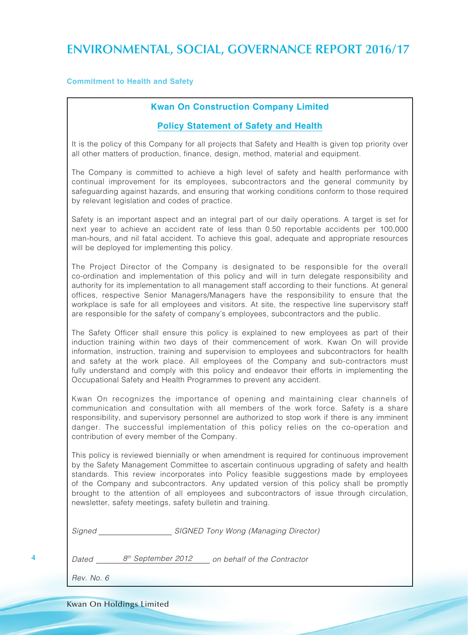#### **Commitment to Health and Safety**

#### **Kwan On Construction Company Limited**

#### **Policy Statement of Safety and Health**

It is the policy of this Company for all projects that Safety and Health is given top priority over all other matters of production, finance, design, method, material and equipment.

The Company is committed to achieve a high level of safety and health performance with continual improvement for its employees, subcontractors and the general community by safeguarding against hazards, and ensuring that working conditions conform to those required by relevant legislation and codes of practice.

Safety is an important aspect and an integral part of our daily operations. A target is set for next year to achieve an accident rate of less than 0.50 reportable accidents per 100,000 man-hours, and nil fatal accident. To achieve this goal, adequate and appropriate resources will be deployed for implementing this policy.

The Project Director of the Company is designated to be responsible for the overall co-ordination and implementation of this policy and will in turn delegate responsibility and authority for its implementation to all management staff according to their functions. At general offices, respective Senior Managers/Managers have the responsibility to ensure that the workplace is safe for all employees and visitors. At site, the respective line supervisory staff are responsible for the safety of company's employees, subcontractors and the public.

The Safety Officer shall ensure this policy is explained to new employees as part of their induction training within two days of their commencement of work. Kwan On will provide information, instruction, training and supervision to employees and subcontractors for health and safety at the work place. All employees of the Company and sub-contractors must fully understand and comply with this policy and endeavor their efforts in implementing the Occupational Safety and Health Programmes to prevent any accident.

Kwan On recognizes the importance of opening and maintaining clear channels of communication and consultation with all members of the work force. Safety is a share responsibility, and supervisory personnel are authorized to stop work if there is any imminent danger. The successful implementation of this policy relies on the co-operation and contribution of every member of the Company.

This policy is reviewed biennially or when amendment is required for continuous improvement by the Safety Management Committee to ascertain continuous upgrading of safety and health standards. This review incorporates into Policy feasible suggestions made by employees of the Company and subcontractors. Any updated version of this policy shall be promptly brought to the attention of all employees and subcontractors of issue through circulation, newsletter, safety meetings, safety bulletin and training.

*Signed SIGNED Tony Wong (Managing Director)*

| l Dated | 8 <sup>th</sup> September 2012 | on behalf of the Contractor |
|---------|--------------------------------|-----------------------------|
|---------|--------------------------------|-----------------------------|

*Rev. No. 6*

**4**

Kwan On Holdings Limited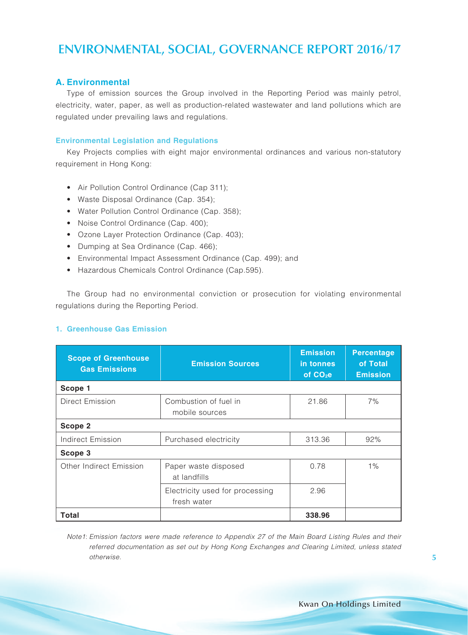#### **A. Environmental**

Type of emission sources the Group involved in the Reporting Period was mainly petrol, electricity, water, paper, as well as production-related wastewater and land pollutions which are regulated under prevailing laws and regulations.

#### **Environmental Legislation and Regulations**

Key Projects complies with eight major environmental ordinances and various non-statutory requirement in Hong Kong:

- Air Pollution Control Ordinance (Cap 311);
- Waste Disposal Ordinance (Cap. 354);
- Water Pollution Control Ordinance (Cap. 358);
- Noise Control Ordinance (Cap. 400);
- Ozone Layer Protection Ordinance (Cap. 403);
- Dumping at Sea Ordinance (Cap. 466);
- Environmental Impact Assessment Ordinance (Cap. 499); and
- Hazardous Chemicals Control Ordinance (Cap.595).

The Group had no environmental conviction or prosecution for violating environmental regulations during the Reporting Period.

#### **1. Greenhouse Gas Emission**

| <b>Scope of Greenhouse</b><br><b>Gas Emissions</b> | <b>Emission Sources</b>                        | <b>Emission</b><br>in tonnes<br>of $CO2e$ | <b>Percentage</b><br>of Total<br><b>Emission</b> |
|----------------------------------------------------|------------------------------------------------|-------------------------------------------|--------------------------------------------------|
| Scope 1                                            |                                                |                                           |                                                  |
| <b>Direct Emission</b>                             | Combustion of fuel in<br>mobile sources        | 21.86                                     | 7%                                               |
| Scope 2                                            |                                                |                                           |                                                  |
| <b>Indirect Emission</b>                           | Purchased electricity                          | 313.36                                    | 92%                                              |
| Scope 3                                            |                                                |                                           |                                                  |
| Other Indirect Emission                            | Paper waste disposed<br>at landfills           | 0.78                                      | $1\%$                                            |
|                                                    | Electricity used for processing<br>fresh water | 2.96                                      |                                                  |
| Total                                              |                                                | 338.96                                    |                                                  |

*Note1*: *Emission factors were made reference to Appendix 27 of the Main Board Listing Rules and their referred documentation as set out by Hong Kong Exchanges and Clearing Limited, unless stated otherwise.*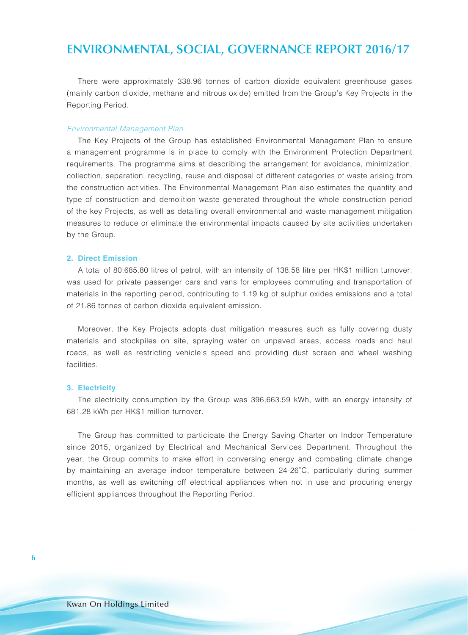There were approximately 338.96 tonnes of carbon dioxide equivalent greenhouse gases (mainly carbon dioxide, methane and nitrous oxide) emitted from the Group's Key Projects in the Reporting Period.

#### *Environmental Management Plan*

The Key Projects of the Group has established Environmental Management Plan to ensure a management programme is in place to comply with the Environment Protection Department requirements. The programme aims at describing the arrangement for avoidance, minimization, collection, separation, recycling, reuse and disposal of different categories of waste arising from the construction activities. The Environmental Management Plan also estimates the quantity and type of construction and demolition waste generated throughout the whole construction period of the key Projects, as well as detailing overall environmental and waste management mitigation measures to reduce or eliminate the environmental impacts caused by site activities undertaken by the Group.

#### **2. Direct Emission**

A total of 80,685.80 litres of petrol, with an intensity of 138.58 litre per HK\$1 million turnover, was used for private passenger cars and vans for employees commuting and transportation of materials in the reporting period, contributing to 1.19 kg of sulphur oxides emissions and a total of 21.86 tonnes of carbon dioxide equivalent emission.

Moreover, the Key Projects adopts dust mitigation measures such as fully covering dusty materials and stockpiles on site, spraying water on unpaved areas, access roads and haul roads, as well as restricting vehicle's speed and providing dust screen and wheel washing facilities.

#### **3. Electricity**

The electricity consumption by the Group was 396,663.59 kWh, with an energy intensity of 681.28 kWh per HK\$1 million turnover.

The Group has committed to participate the Energy Saving Charter on Indoor Temperature since 2015, organized by Electrical and Mechanical Services Department. Throughout the year, the Group commits to make effort in conversing energy and combating climate change by maintaining an average indoor temperature between 24-26˚C, particularly during summer months, as well as switching off electrical appliances when not in use and procuring energy efficient appliances throughout the Reporting Period.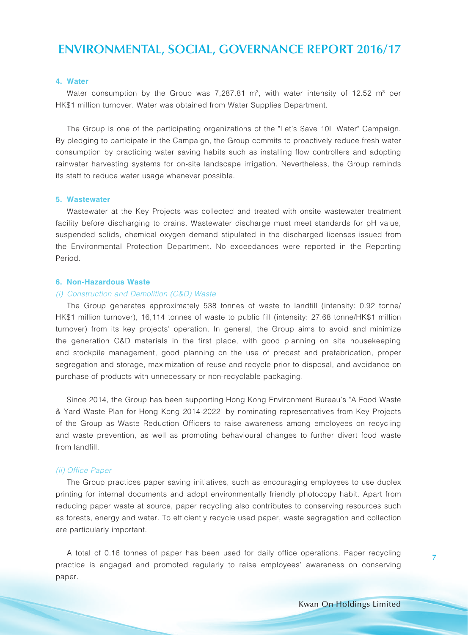#### **4. Water**

Water consumption by the Group was 7,287.81  $m^3$ , with water intensity of 12.52  $m^3$  per HK\$1 million turnover. Water was obtained from Water Supplies Department.

The Group is one of the participating organizations of the "Let's Save 10L Water" Campaign. By pledging to participate in the Campaign, the Group commits to proactively reduce fresh water consumption by practicing water saving habits such as installing flow controllers and adopting rainwater harvesting systems for on-site landscape irrigation. Nevertheless, the Group reminds its staff to reduce water usage whenever possible.

#### **5. Wastewater**

Wastewater at the Key Projects was collected and treated with onsite wastewater treatment facility before discharging to drains. Wastewater discharge must meet standards for pH value, suspended solids, chemical oxygen demand stipulated in the discharged licenses issued from the Environmental Protection Department. No exceedances were reported in the Reporting Period.

#### **6. Non-Hazardous Waste**

#### *(i) Construction and Demolition (C&D) Waste*

The Group generates approximately 538 tonnes of waste to landfill (intensity: 0.92 tonne/ HK\$1 million turnover), 16,114 tonnes of waste to public fill (intensity: 27.68 tonne/HK\$1 million turnover) from its key projects' operation. In general, the Group aims to avoid and minimize the generation C&D materials in the first place, with good planning on site housekeeping and stockpile management, good planning on the use of precast and prefabrication, proper segregation and storage, maximization of reuse and recycle prior to disposal, and avoidance on purchase of products with unnecessary or non-recyclable packaging.

Since 2014, the Group has been supporting Hong Kong Environment Bureau's "A Food Waste & Yard Waste Plan for Hong Kong 2014-2022" by nominating representatives from Key Projects of the Group as Waste Reduction Officers to raise awareness among employees on recycling and waste prevention, as well as promoting behavioural changes to further divert food waste from landfill.

#### *(ii) Office Paper*

The Group practices paper saving initiatives, such as encouraging employees to use duplex printing for internal documents and adopt environmentally friendly photocopy habit. Apart from reducing paper waste at source, paper recycling also contributes to conserving resources such as forests, energy and water. To efficiently recycle used paper, waste segregation and collection are particularly important.

A total of 0.16 tonnes of paper has been used for daily office operations. Paper recycling practice is engaged and promoted regularly to raise employees' awareness on conserving paper.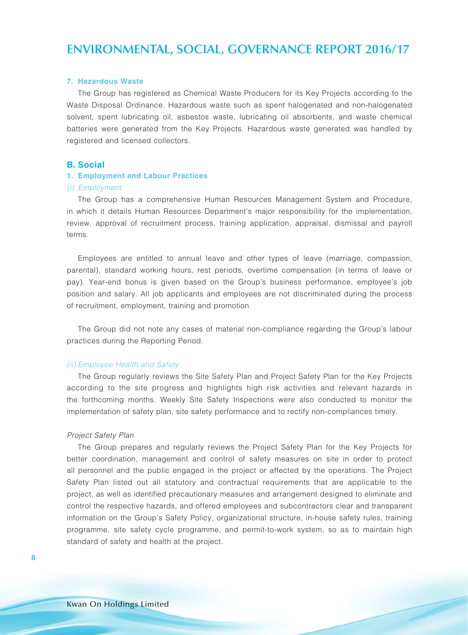#### **7. Hazardous Waste**

The Group has registered as Chemical Waste Producers for its Key Projects according to the Waste Disposal Ordinance. Hazardous waste such as spent halogenated and non-halogenated solvent, spent lubricating oil, asbestos waste, lubricating oil absorbents, and waste chemical batteries were generated from the Key Projects. Hazardous waste generated was handled by registered and licensed collectors.

#### **B. Social**

#### **1. Employment and Labour Practices**

#### *(i) Employment*

The Group has a comprehensive Human Resources Management System and Procedure, in which it details Human Resources Department's major responsibility for the implementation, review, approval of recruitment process, training application, appraisal, dismissal and payroll terms.

Employees are entitled to annual leave and other types of leave (marriage, compassion, parental), standard working hours, rest periods, overtime compensation (in terms of leave or pay). Year-end bonus is given based on the Group's business performance, employee's job position and salary. All job applicants and employees are not discriminated during the process of recruitment, employment, training and promotion.

The Group did not note any cases of material non-compliance regarding the Group's labour practices during the Reporting Period.

#### *(ii) Employee Health and Safety*

The Group regularly reviews the Site Safety Plan and Project Safety Plan for the Key Projects according to the site progress and highlights high risk activities and relevant hazards in the forthcoming months. Weekly Site Safety Inspections were also conducted to monitor the implementation of safety plan, site safety performance and to rectify non-compliances timely.

#### *Project Safety Plan*

The Group prepares and regularly reviews the Project Safety Plan for the Key Projects for better coordination, management and control of safety measures on site in order to protect all personnel and the public engaged in the project or affected by the operations. The Project Safety Plan listed out all statutory and contractual requirements that are applicable to the project, as well as identified precautionary measures and arrangement designed to eliminate and control the respective hazards, and offered employees and subcontractors clear and transparent information on the Group's Safety Policy, organizational structure, in-house safety rules, training programme, site safety cycle programme, and permit-to-work system, so as to maintain high standard of safety and health at the project.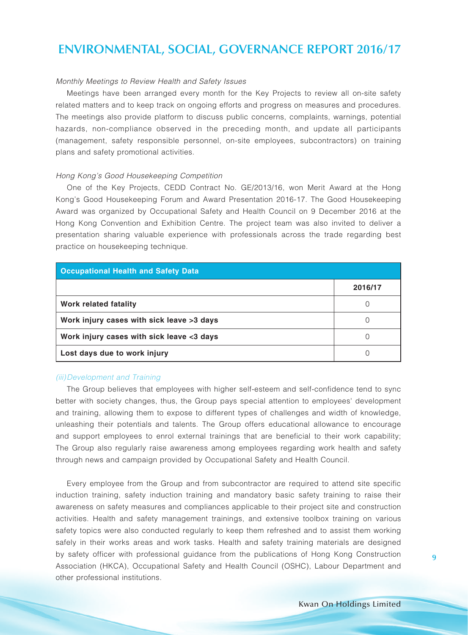#### *Monthly Meetings to Review Health and Safety Issues*

Meetings have been arranged every month for the Key Projects to review all on-site safety related matters and to keep track on ongoing efforts and progress on measures and procedures. The meetings also provide platform to discuss public concerns, complaints, warnings, potential hazards, non-compliance observed in the preceding month, and update all participants (management, safety responsible personnel, on-site employees, subcontractors) on training plans and safety promotional activities.

#### *Hong Kong's Good Housekeeping Competition*

One of the Key Projects, CEDD Contract No. GE/2013/16, won Merit Award at the Hong Kong's Good Housekeeping Forum and Award Presentation 2016-17. The Good Housekeeping Award was organized by Occupational Safety and Health Council on 9 December 2016 at the Hong Kong Convention and Exhibition Centre. The project team was also invited to deliver a presentation sharing valuable experience with professionals across the trade regarding best practice on housekeeping technique.

| <b>Occupational Health and Safety Data</b> |         |  |  |  |
|--------------------------------------------|---------|--|--|--|
|                                            | 2016/17 |  |  |  |
| Work related fatality                      |         |  |  |  |
| Work injury cases with sick leave >3 days  |         |  |  |  |
| Work injury cases with sick leave <3 days  |         |  |  |  |
| Lost days due to work injury               |         |  |  |  |

#### *(iii)Development and Training*

The Group believes that employees with higher self-esteem and self-confidence tend to sync better with society changes, thus, the Group pays special attention to employees' development and training, allowing them to expose to different types of challenges and width of knowledge, unleashing their potentials and talents. The Group offers educational allowance to encourage and support employees to enrol external trainings that are beneficial to their work capability; The Group also regularly raise awareness among employees regarding work health and safety through news and campaign provided by Occupational Safety and Health Council.

Every employee from the Group and from subcontractor are required to attend site specific induction training, safety induction training and mandatory basic safety training to raise their awareness on safety measures and compliances applicable to their project site and construction activities. Health and safety management trainings, and extensive toolbox training on various safety topics were also conducted regularly to keep them refreshed and to assist them working safely in their works areas and work tasks. Health and safety training materials are designed by safety officer with professional guidance from the publications of Hong Kong Construction Association (HKCA), Occupational Safety and Health Council (OSHC), Labour Department and other professional institutions.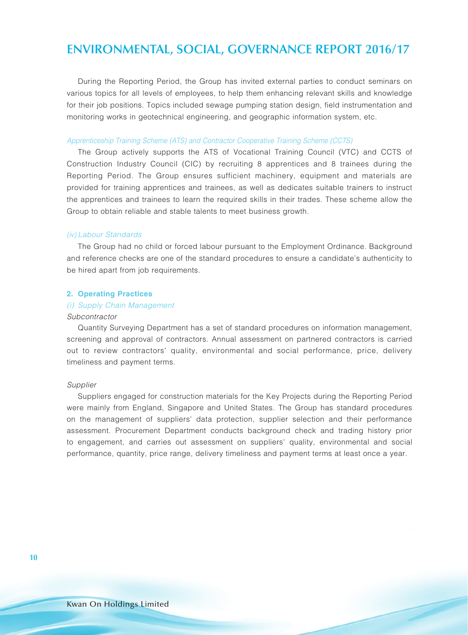During the Reporting Period, the Group has invited external parties to conduct seminars on various topics for all levels of employees, to help them enhancing relevant skills and knowledge for their job positions. Topics included sewage pumping station design, field instrumentation and monitoring works in geotechnical engineering, and geographic information system, etc.

#### *Apprenticeship Training Scheme (ATS) and Contractor Cooperative Training Scheme (CCTS)*

The Group actively supports the ATS of Vocational Training Council (VTC) and CCTS of Construction Industry Council (CIC) by recruiting 8 apprentices and 8 trainees during the Reporting Period. The Group ensures sufficient machinery, equipment and materials are provided for training apprentices and trainees, as well as dedicates suitable trainers to instruct the apprentices and trainees to learn the required skills in their trades. These scheme allow the Group to obtain reliable and stable talents to meet business growth.

#### *(iv) Labour Standards*

The Group had no child or forced labour pursuant to the Employment Ordinance. Background and reference checks are one of the standard procedures to ensure a candidate's authenticity to be hired apart from job requirements.

#### **2. Operating Practices**

#### *(i) Supply Chain Management*

#### *Subcontractor*

Quantity Surveying Department has a set of standard procedures on information management, screening and approval of contractors. Annual assessment on partnered contractors is carried out to review contractors' quality, environmental and social performance, price, delivery timeliness and payment terms.

#### *Supplier*

Suppliers engaged for construction materials for the Key Projects during the Reporting Period were mainly from England, Singapore and United States. The Group has standard procedures on the management of suppliers' data protection, supplier selection and their performance assessment. Procurement Department conducts background check and trading history prior to engagement, and carries out assessment on suppliers' quality, environmental and social performance, quantity, price range, delivery timeliness and payment terms at least once a year.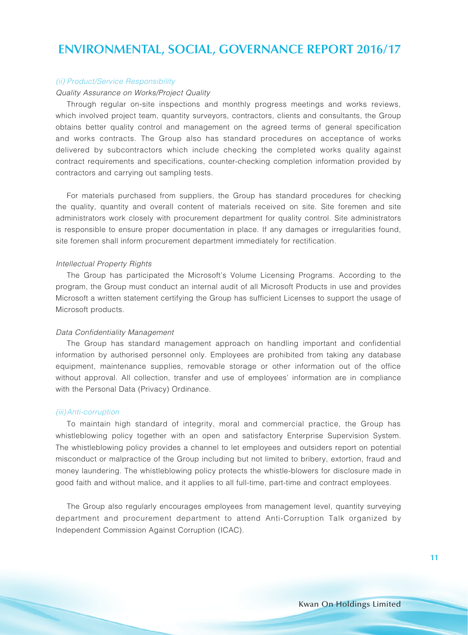#### *(ii) Product/Service Responsibility*

#### *Quality Assurance on Works/Project Quality*

Through regular on-site inspections and monthly progress meetings and works reviews, which involved project team, quantity surveyors, contractors, clients and consultants, the Group obtains better quality control and management on the agreed terms of general specification and works contracts. The Group also has standard procedures on acceptance of works delivered by subcontractors which include checking the completed works quality against contract requirements and specifications, counter-checking completion information provided by contractors and carrying out sampling tests.

For materials purchased from suppliers, the Group has standard procedures for checking the quality, quantity and overall content of materials received on site. Site foremen and site administrators work closely with procurement department for quality control. Site administrators is responsible to ensure proper documentation in place. If any damages or irregularities found, site foremen shall inform procurement department immediately for rectification.

#### *Intellectual Property Rights*

The Group has participated the Microsoft's Volume Licensing Programs. According to the program, the Group must conduct an internal audit of all Microsoft Products in use and provides Microsoft a written statement certifying the Group has sufficient Licenses to support the usage of Microsoft products.

#### *Data Confidentiality Management*

The Group has standard management approach on handling important and confidential information by authorised personnel only. Employees are prohibited from taking any database equipment, maintenance supplies, removable storage or other information out of the office without approval. All collection, transfer and use of employees' information are in compliance with the Personal Data (Privacy) Ordinance.

#### *(iii)Anti-corruption*

To maintain high standard of integrity, moral and commercial practice, the Group has whistleblowing policy together with an open and satisfactory Enterprise Supervision System. The whistleblowing policy provides a channel to let employees and outsiders report on potential misconduct or malpractice of the Group including but not limited to bribery, extortion, fraud and money laundering. The whistleblowing policy protects the whistle-blowers for disclosure made in good faith and without malice, and it applies to all full-time, part-time and contract employees.

The Group also regularly encourages employees from management level, quantity surveying department and procurement department to attend Anti-Corruption Talk organized by Independent Commission Against Corruption (ICAC).